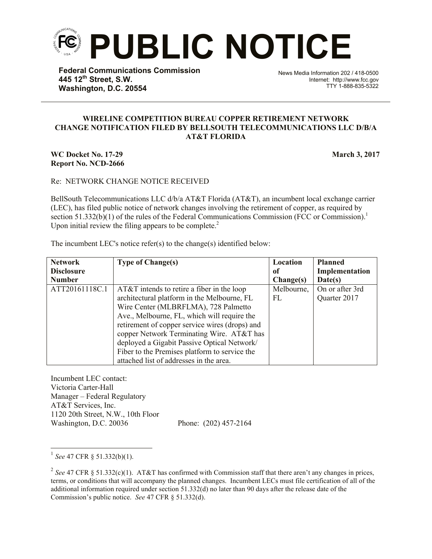**PUBLIC NOTICE**

**Federal Communications Commission 445 12th Street, S.W. Washington, D.C. 20554**

News Media Information 202 / 418-0500 Internet: http://www.fcc.gov TTY 1-888-835-5322

## **WIRELINE COMPETITION BUREAU COPPER RETIREMENT NETWORK CHANGE NOTIFICATION FILED BY BELLSOUTH TELECOMMUNICATIONS LLC D/B/A AT&T FLORIDA**

## **WC Docket No. 17-29 March 3, 2017 Report No. NCD-2666**

Re: NETWORK CHANGE NOTICE RECEIVED

BellSouth Telecommunications LLC d/b/a AT&T Florida (AT&T), an incumbent local exchange carrier (LEC), has filed public notice of network changes involving the retirement of copper, as required by section 51.332(b)(1) of the rules of the Federal Communications Commission (FCC or Commission).<sup>1</sup> Upon initial review the filing appears to be complete. $2$ 

The incumbent LEC's notice refer(s) to the change(s) identified below:

| <b>Network</b>    | <b>Type of Change(s)</b>                       | Location   | <b>Planned</b>  |
|-------------------|------------------------------------------------|------------|-----------------|
| <b>Disclosure</b> |                                                | of         | Implementation  |
| <b>Number</b>     |                                                | Change(s)  | Date(s)         |
| ATT20161118C.1    | $AT&T$ intends to retire a fiber in the loop   | Melbourne, | On or after 3rd |
|                   | architectural platform in the Melbourne, FL    | FL         | Quarter 2017    |
|                   | Wire Center (MLBRFLMA), 728 Palmetto           |            |                 |
|                   | Ave., Melbourne, FL, which will require the    |            |                 |
|                   | retirement of copper service wires (drops) and |            |                 |
|                   | copper Network Terminating Wire. AT&T has      |            |                 |
|                   | deployed a Gigabit Passive Optical Network/    |            |                 |
|                   | Fiber to the Premises platform to service the  |            |                 |
|                   | attached list of addresses in the area.        |            |                 |

Incumbent LEC contact: Victoria Carter-Hall Manager – Federal Regulatory AT&T Services, Inc. 1120 20th Street, N.W., 10th Floor Washington, D.C. 20036 Phone: (202) 457-2164

l

<sup>&</sup>lt;sup>1</sup> See 47 CFR § 51.332(b)(1).

<sup>&</sup>lt;sup>2</sup> See 47 CFR § 51.332(c)(1). AT&T has confirmed with Commission staff that there aren't any changes in prices, terms, or conditions that will accompany the planned changes. Incumbent LECs must file certification of all of the additional information required under section 51.332(d) no later than 90 days after the release date of the Commission's public notice. *See* 47 CFR § 51.332(d).